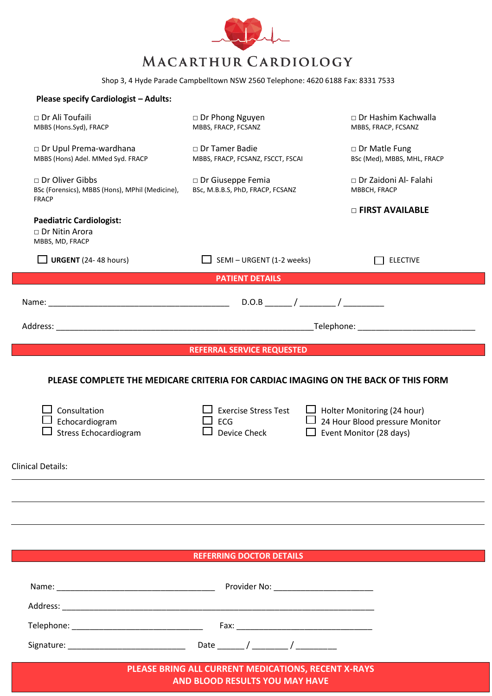

Shop 3, 4 Hyde Parade Campbelltown NSW 2560 Telephone: 4620 6188 Fax: 8331 7533

| <b>Please specify Cardiologist - Adults:</b>                                         |                                                                                                                                                 |                                                                                                 |
|--------------------------------------------------------------------------------------|-------------------------------------------------------------------------------------------------------------------------------------------------|-------------------------------------------------------------------------------------------------|
| □ Dr Ali Toufaili<br>MBBS (Hons.Syd), FRACP                                          | □ Dr Phong Nguyen<br>MBBS, FRACP, FCSANZ                                                                                                        | $\Box$ Dr Hashim Kachwalla<br>MBBS, FRACP, FCSANZ                                               |
| Dr Upul Prema-wardhana<br>MBBS (Hons) Adel. MMed Syd. FRACP                          | □ Dr Tamer Badie<br>MBBS, FRACP, FCSANZ, FSCCT, FSCAI                                                                                           | □ Dr Matle Fung<br>BSc (Med), MBBS, MHL, FRACP                                                  |
| □ Dr Oliver Gibbs<br>BSc (Forensics), MBBS (Hons), MPhil (Medicine),<br><b>FRACP</b> | □ Dr Giuseppe Femia<br>BSc, M.B.B.S, PhD, FRACP, FCSANZ                                                                                         | □ Dr Zaidoni Al- Falahi<br>MBBCH, FRACP                                                         |
| <b>Paediatric Cardiologist:</b><br>□ Dr Nitin Arora<br>MBBS, MD, FRACP               |                                                                                                                                                 | <b>D FIRST AVAILABLE</b>                                                                        |
| $\Box$ URGENT (24-48 hours)                                                          | $\Box$ SEMI – URGENT (1-2 weeks)                                                                                                                | <b>ELECTIVE</b>                                                                                 |
|                                                                                      | <b>PATIENT DETAILS</b>                                                                                                                          |                                                                                                 |
|                                                                                      |                                                                                                                                                 |                                                                                                 |
|                                                                                      | Telephone: The contract of the contract of the contract of the contract of the contract of the contract of the                                  |                                                                                                 |
|                                                                                      |                                                                                                                                                 |                                                                                                 |
|                                                                                      | <b>REFERRAL SERVICE REQUESTED</b>                                                                                                               |                                                                                                 |
| Consultation<br>Echocardiogram<br><b>Stress Echocardiogram</b>                       | PLEASE COMPLETE THE MEDICARE CRITERIA FOR CARDIAC IMAGING ON THE BACK OF THIS FORM<br><b>Exercise Stress Test</b><br><b>ECG</b><br>Device Check | $\Box$ Holter Monitoring (24 hour)<br>24 Hour Blood pressure Monitor<br>Event Monitor (28 days) |
| Clinical Details:                                                                    |                                                                                                                                                 |                                                                                                 |
|                                                                                      |                                                                                                                                                 |                                                                                                 |
|                                                                                      |                                                                                                                                                 |                                                                                                 |
|                                                                                      |                                                                                                                                                 |                                                                                                 |
|                                                                                      | <b>REFERRING DOCTOR DETAILS</b>                                                                                                                 |                                                                                                 |
|                                                                                      |                                                                                                                                                 |                                                                                                 |
|                                                                                      |                                                                                                                                                 |                                                                                                 |

 Telephone: \_\_\_\_\_\_\_\_\_\_\_\_\_\_\_\_\_\_\_\_\_\_\_\_\_\_\_\_\_ Fax: \_\_\_\_\_\_\_\_\_\_\_\_\_\_\_\_\_\_\_\_\_\_\_\_\_\_\_\_\_\_ Signature: \_\_\_\_\_\_\_\_\_\_\_\_\_\_\_\_\_\_\_\_\_\_\_\_\_\_ Date \_\_\_\_\_\_ / \_\_\_\_\_\_\_\_ / \_\_\_\_\_\_\_\_\_

> **PLEASE BRING ALL CURRENT MEDICATIONS, RECENT X-RAYS AND BLOOD RESULTS YOU MAY HAVE**